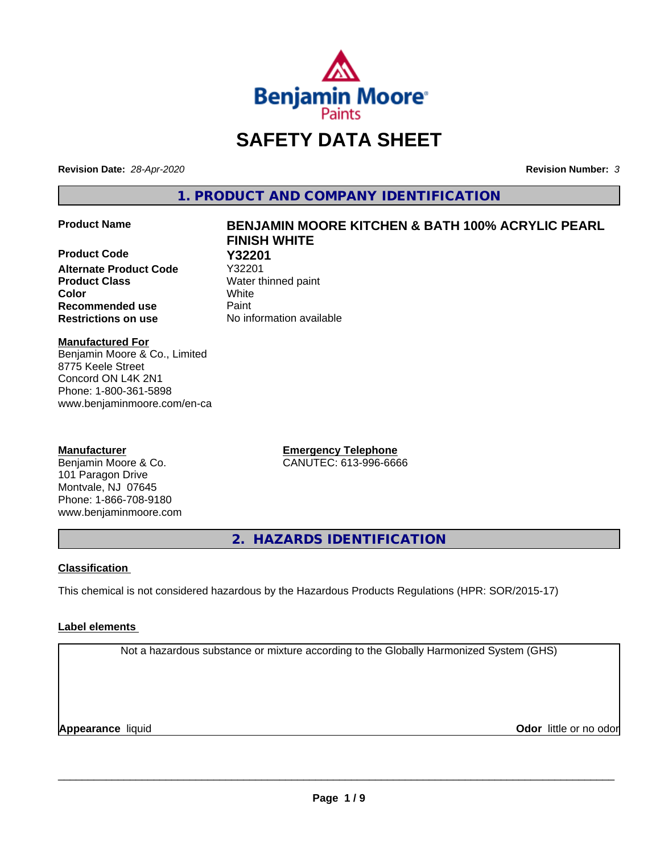

# **SAFETY DATA SHEET**

**Revision Date:** *28-Apr-2020* **Revision Number:** *3*

**1. PRODUCT AND COMPANY IDENTIFICATION**

**Product Code 61 122201**<br>**Alternate Product Code** 732201 **Alternate Product Code Product Class** Water thinned paint **Color** White **Recommended use Caint Restrictions on use** No information available

# **Product Name BENJAMIN MOORE KITCHEN & BATH 100% ACRYLIC PEARL FINISH WHITE**

**Manufactured For**

Benjamin Moore & Co., Limited 8775 Keele Street Concord ON L4K 2N1 Phone: 1-800-361-5898 www.benjaminmoore.com/en-ca

### **Manufacturer**

Benjamin Moore & Co. 101 Paragon Drive Montvale, NJ 07645 Phone: 1-866-708-9180 www.benjaminmoore.com **Emergency Telephone** CANUTEC: 613-996-6666

**2. HAZARDS IDENTIFICATION**

#### **Classification**

This chemical is not considered hazardous by the Hazardous Products Regulations (HPR: SOR/2015-17)

### **Label elements**

Not a hazardous substance or mixture according to the Globally Harmonized System (GHS)

**Appearance** liquid

**Odor** little or no odor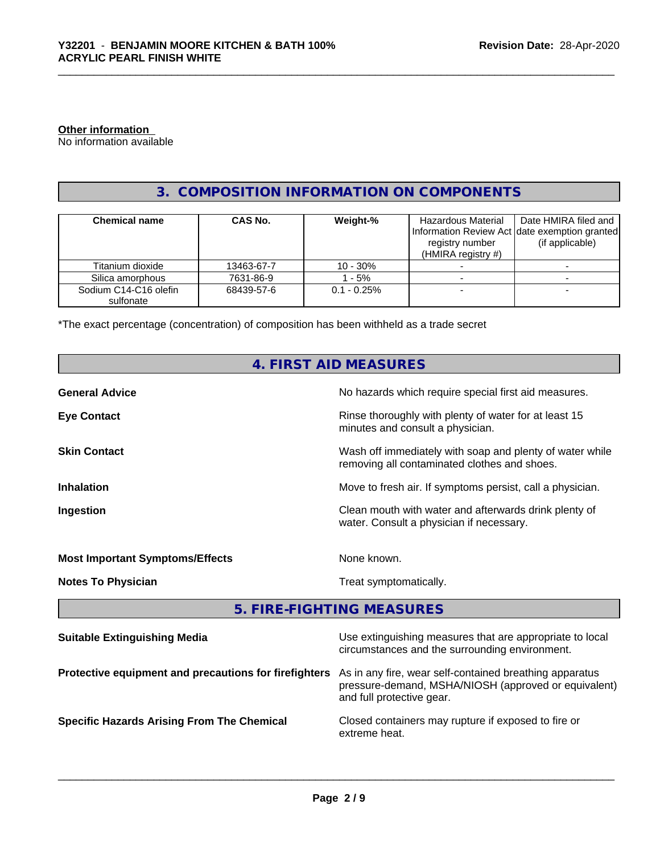#### **Other information**

No information available

# **3. COMPOSITION INFORMATION ON COMPONENTS**

| <b>Chemical name</b>               | <b>CAS No.</b> | Weight-%       | Hazardous Material<br>registry number<br>(HMIRA registry $#$ ) | Date HMIRA filed and<br>Information Review Act Idate exemption granted<br>(if applicable) |
|------------------------------------|----------------|----------------|----------------------------------------------------------------|-------------------------------------------------------------------------------------------|
| Titanium dioxide                   | 13463-67-7     | 10 - 30%       |                                                                |                                                                                           |
| Silica amorphous                   | 7631-86-9      | - 5%           |                                                                |                                                                                           |
| Sodium C14-C16 olefin<br>sulfonate | 68439-57-6     | $0.1 - 0.25\%$ |                                                                |                                                                                           |

\*The exact percentage (concentration) of composition has been withheld as a trade secret

| <b>4. FIRST AID MEASURES</b>                          |                                                                                                                                              |  |  |  |  |
|-------------------------------------------------------|----------------------------------------------------------------------------------------------------------------------------------------------|--|--|--|--|
| <b>General Advice</b>                                 | No hazards which require special first aid measures.                                                                                         |  |  |  |  |
| <b>Eye Contact</b>                                    | Rinse thoroughly with plenty of water for at least 15<br>minutes and consult a physician.                                                    |  |  |  |  |
| <b>Skin Contact</b>                                   | Wash off immediately with soap and plenty of water while<br>removing all contaminated clothes and shoes.                                     |  |  |  |  |
| <b>Inhalation</b>                                     | Move to fresh air. If symptoms persist, call a physician.                                                                                    |  |  |  |  |
| Ingestion                                             | Clean mouth with water and afterwards drink plenty of<br>water. Consult a physician if necessary.                                            |  |  |  |  |
| <b>Most Important Symptoms/Effects</b>                | None known.                                                                                                                                  |  |  |  |  |
| <b>Notes To Physician</b>                             | Treat symptomatically.                                                                                                                       |  |  |  |  |
|                                                       | 5. FIRE-FIGHTING MEASURES                                                                                                                    |  |  |  |  |
| <b>Suitable Extinguishing Media</b>                   | Use extinguishing measures that are appropriate to local<br>circumstances and the surrounding environment.                                   |  |  |  |  |
| Protective equipment and precautions for firefighters | As in any fire, wear self-contained breathing apparatus<br>pressure-demand, MSHA/NIOSH (approved or equivalent)<br>and full protective gear. |  |  |  |  |
| <b>Specific Hazards Arising From The Chemical</b>     | Closed containers may rupture if exposed to fire or<br>extreme heat.                                                                         |  |  |  |  |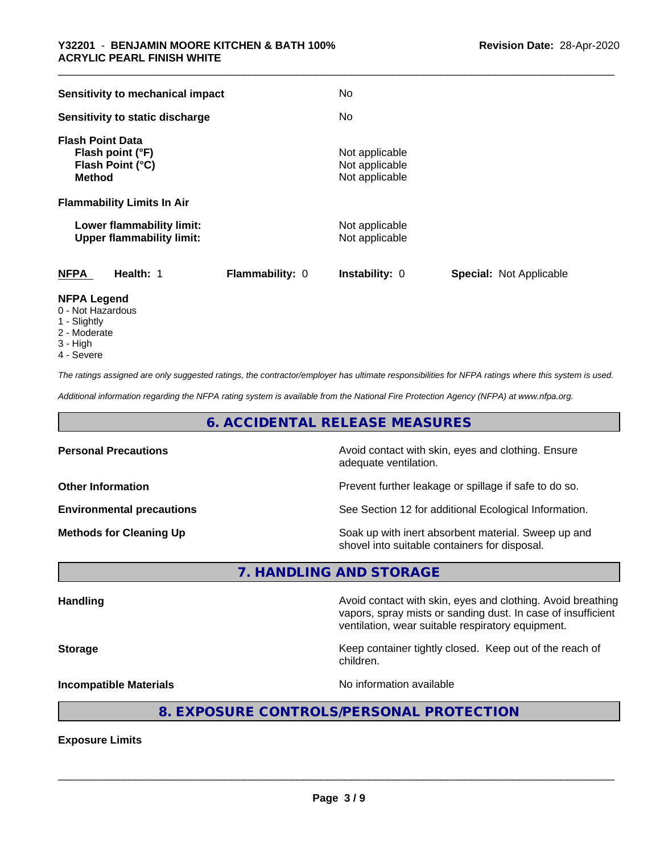| <b>Sensitivity to mechanical impact</b>                                          |                        | No                                                 |                                |
|----------------------------------------------------------------------------------|------------------------|----------------------------------------------------|--------------------------------|
| Sensitivity to static discharge                                                  |                        | No                                                 |                                |
| <b>Flash Point Data</b><br>Flash point (°F)<br>Flash Point (°C)<br><b>Method</b> |                        | Not applicable<br>Not applicable<br>Not applicable |                                |
| <b>Flammability Limits In Air</b>                                                |                        |                                                    |                                |
| Lower flammability limit:<br><b>Upper flammability limit:</b>                    |                        | Not applicable<br>Not applicable                   |                                |
| <b>NFPA</b><br>Health: 1                                                         | <b>Flammability: 0</b> | Instability: 0                                     | <b>Special: Not Applicable</b> |
| <b>NFPA Legend</b>                                                               |                        |                                                    |                                |

- 0 Not Hazardous
- 1 Slightly
- 2 Moderate
- 3 High
- 4 Severe

*The ratings assigned are only suggested ratings, the contractor/employer has ultimate responsibilities for NFPA ratings where this system is used.*

*Additional information regarding the NFPA rating system is available from the National Fire Protection Agency (NFPA) at www.nfpa.org.*

## **6. ACCIDENTAL RELEASE MEASURES**

| <b>Personal Precautions</b>      | Avoid contact with skin, eyes and clothing. Ensure<br>adequate ventilation.                          |
|----------------------------------|------------------------------------------------------------------------------------------------------|
| <b>Other Information</b>         | Prevent further leakage or spillage if safe to do so.                                                |
| <b>Environmental precautions</b> | See Section 12 for additional Ecological Information.                                                |
| <b>Methods for Cleaning Up</b>   | Soak up with inert absorbent material. Sweep up and<br>shovel into suitable containers for disposal. |

**7. HANDLING AND STORAGE**

**Handling Handling Avoid contact with skin, eyes and clothing. Avoid breathing H** vapors, spray mists or sanding dust. In case of insufficient ventilation, wear suitable respiratory equipment. **Storage Keep container tightly closed. Keep out of the reach of the reach of the reach of the reach of the reach of the reach of the reach of the reach of the reach of the reach of the reach of the reach of the reach of** children. **Incompatible Materials Incompatible Materials No information available** 

# **8. EXPOSURE CONTROLS/PERSONAL PROTECTION**

**Exposure Limits**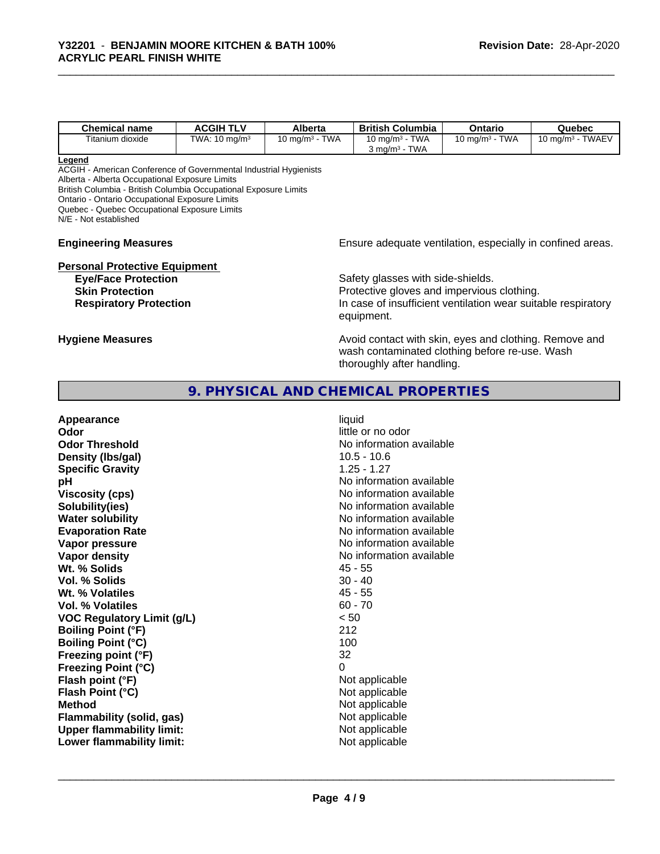| <b>Chemical name</b> | <b>ACGIH TLV</b>         | <b>Alberta</b>               | <b>British</b><br>Columbia                                      | Ontario                           | Quebec                       |
|----------------------|--------------------------|------------------------------|-----------------------------------------------------------------|-----------------------------------|------------------------------|
| Titanium dioxide     | TWA: $10 \text{ mg/m}^3$ | <b>TWA</b><br>10 mg/m $^3\,$ | <b>TWA</b><br>10 ma/m $^3$<br><b>TWA</b><br>3 ma/m <sup>3</sup> | <b>TWA</b><br>$10 \text{ mg/m}^3$ | <b>TWAEV</b><br>10 ma/m $^3$ |

#### **Legend**

ACGIH - American Conference of Governmental Industrial Hygienists

Alberta - Alberta Occupational Exposure Limits

British Columbia - British Columbia Occupational Exposure Limits

Ontario - Ontario Occupational Exposure Limits

Quebec - Quebec Occupational Exposure Limits N/E - Not established

# **Personal Protective Equipment**

**Engineering Measures Engineering Measures Engineering Measures Ensure adequate ventilation, especially in confined areas.** 

**Eye/Face Protection** Safety glasses with side-shields. **Skin Protection**<br> **Respiratory Protection**<br> **Respiratory Protection**<br> **Protective gloves and impervious clothing.**<br>
In case of insufficient ventilation wear suita In case of insufficient ventilation wear suitable respiratory equipment.

**Hygiene Measures Avoid contact with skin, eyes and clothing. Remove and Hygiene Measures Avoid contact with skin, eyes and clothing. Remove and** wash contaminated clothing before re-use. Wash thoroughly after handling.

## **9. PHYSICAL AND CHEMICAL PROPERTIES**

| Appearance<br>Odor<br><b>Odor Threshold</b><br>Density (Ibs/gal)<br><b>Specific Gravity</b><br>рH<br><b>Viscosity (cps)</b><br>Solubility(ies)<br><b>Water solubility</b><br><b>Evaporation Rate</b><br>Vapor pressure<br>Vapor density<br>Wt. % Solids<br><b>Vol. % Solids</b><br>Wt. % Volatiles<br>Vol. % Volatiles<br><b>VOC Regulatory Limit (g/L)</b><br><b>Boiling Point (°F)</b><br><b>Boiling Point (°C)</b><br>Freezing point (°F)<br><b>Freezing Point (°C)</b><br>Flash point (°F)<br>Flash Point (°C)<br><b>Method</b><br><b>Flammability (solid, gas)</b> | liquid<br>little or no odor<br>No information available<br>$10.5 - 10.6$<br>$1.25 - 1.27$<br>No information available<br>No information available<br>No information available<br>No information available<br>No information available<br>No information available<br>No information available<br>$45 - 55$<br>$30 - 40$<br>$45 - 55$<br>$60 - 70$<br>< 50<br>212<br>100<br>32<br>0<br>Not applicable<br>Not applicable<br>Not applicable<br>Not applicable |
|-------------------------------------------------------------------------------------------------------------------------------------------------------------------------------------------------------------------------------------------------------------------------------------------------------------------------------------------------------------------------------------------------------------------------------------------------------------------------------------------------------------------------------------------------------------------------|------------------------------------------------------------------------------------------------------------------------------------------------------------------------------------------------------------------------------------------------------------------------------------------------------------------------------------------------------------------------------------------------------------------------------------------------------------|
| <b>Upper flammability limit:</b>                                                                                                                                                                                                                                                                                                                                                                                                                                                                                                                                        | Not applicable                                                                                                                                                                                                                                                                                                                                                                                                                                             |
| Lower flammability limit:                                                                                                                                                                                                                                                                                                                                                                                                                                                                                                                                               | Not applicable                                                                                                                                                                                                                                                                                                                                                                                                                                             |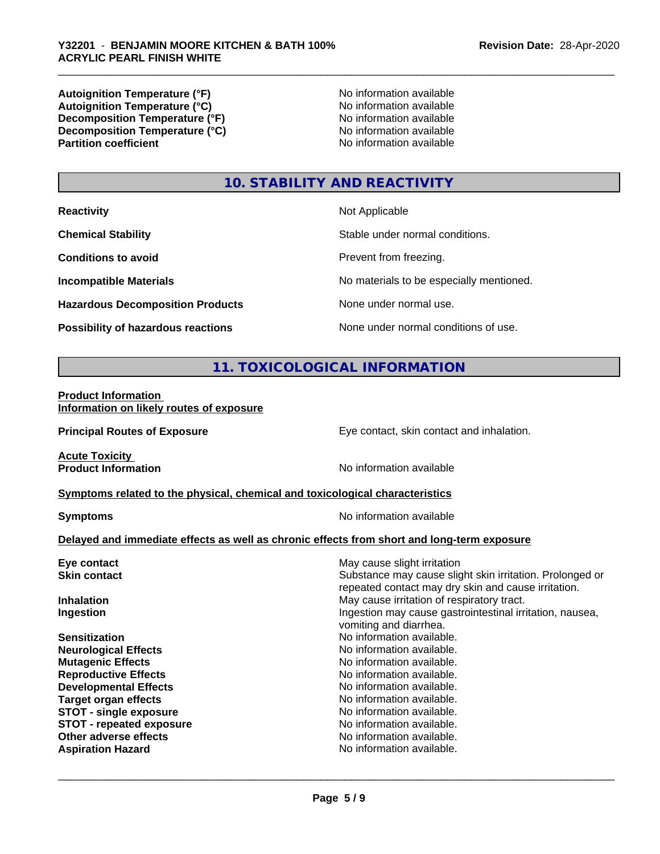**Autoignition Temperature (°F)**<br> **Autoignition Temperature (°C)** No information available **Autoignition Temperature (°C)**<br> **Decomposition Temperature (°F)** No information available **Decomposition Temperature (°F) Decomposition Temperature (°C)**<br> **Partition coefficient**<br> **Partition coefficient**<br> **No** information available

**No information available** 

# **10. STABILITY AND REACTIVITY**

**Hazardous Decomposition Products** None under normal use.

**Not Applicable** 

**Chemical Stability Chemical Stability** Stable under normal conditions.

**Conditions to avoid Prevent from freezing.** 

**Incompatible Materials No materials** No materials to be especially mentioned.

**Possibility of hazardous reactions** None under normal conditions of use.

# **11. TOXICOLOGICAL INFORMATION**

**Product Information Information on likely routes of exposure**

**Principal Routes of Exposure Exposure** Eye contact, skin contact and inhalation.

**Acute Toxicity<br>Product Information** 

**No information available** 

#### **<u>Symptoms related to the physical, chemical and toxicological characteristics</u>**

**Symptoms** No information available

 $\overline{\phantom{a}}$  ,  $\overline{\phantom{a}}$  ,  $\overline{\phantom{a}}$  ,  $\overline{\phantom{a}}$  ,  $\overline{\phantom{a}}$  ,  $\overline{\phantom{a}}$  ,  $\overline{\phantom{a}}$  ,  $\overline{\phantom{a}}$  ,  $\overline{\phantom{a}}$  ,  $\overline{\phantom{a}}$  ,  $\overline{\phantom{a}}$  ,  $\overline{\phantom{a}}$  ,  $\overline{\phantom{a}}$  ,  $\overline{\phantom{a}}$  ,  $\overline{\phantom{a}}$  ,  $\overline{\phantom{a}}$ 

#### **Delayed and immediate effects as well as chronic effects from short and long-term exposure**

| Eye contact                     | May cause slight irritation                                                                                     |  |  |
|---------------------------------|-----------------------------------------------------------------------------------------------------------------|--|--|
| <b>Skin contact</b>             | Substance may cause slight skin irritation. Prolonged or<br>repeated contact may dry skin and cause irritation. |  |  |
| <b>Inhalation</b>               | May cause irritation of respiratory tract.                                                                      |  |  |
| Ingestion                       | Ingestion may cause gastrointestinal irritation, nausea,<br>vomiting and diarrhea.                              |  |  |
| <b>Sensitization</b>            | No information available.                                                                                       |  |  |
| <b>Neurological Effects</b>     | No information available.                                                                                       |  |  |
| <b>Mutagenic Effects</b>        | No information available.                                                                                       |  |  |
| <b>Reproductive Effects</b>     | No information available.                                                                                       |  |  |
| <b>Developmental Effects</b>    | No information available.                                                                                       |  |  |
| <b>Target organ effects</b>     | No information available.                                                                                       |  |  |
| <b>STOT - single exposure</b>   | No information available.                                                                                       |  |  |
| <b>STOT - repeated exposure</b> | No information available.                                                                                       |  |  |
| Other adverse effects           | No information available.                                                                                       |  |  |
| <b>Aspiration Hazard</b>        | No information available.                                                                                       |  |  |
|                                 |                                                                                                                 |  |  |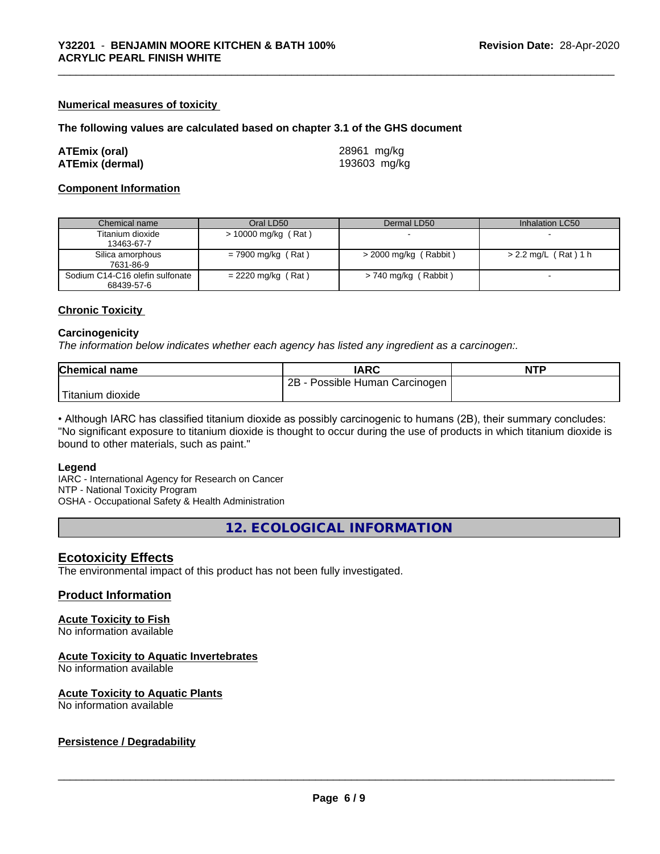#### **Numerical measures of toxicity**

#### **The following values are calculated based on chapter 3.1 of the GHS document**

| ATEmix (oral)          | 28961 mg/kg  |
|------------------------|--------------|
| <b>ATEmix (dermal)</b> | 193603 mg/kg |

#### **Component Information**

| Chemical name                   | Oral LD50            | Dermal LD50             | Inhalation LC50      |
|---------------------------------|----------------------|-------------------------|----------------------|
| Titanium dioxide                | > 10000 mg/kg (Rat)  |                         |                      |
| 13463-67-7                      |                      |                         |                      |
| Silica amorphous                | $= 7900$ mg/kg (Rat) | $>$ 2000 mg/kg (Rabbit) | > 2.2 mg/L (Rat) 1 h |
| 7631-86-9                       |                      |                         |                      |
| Sodium C14-C16 olefin sulfonate | $= 2220$ mg/kg (Rat) | > 740 mg/kg (Rabbit)    |                      |
| 68439-57-6                      |                      |                         |                      |

#### **Chronic Toxicity**

#### **Carcinogenicity**

*The information below indicateswhether each agency has listed any ingredient as a carcinogen:.*

| <b>Chemical name</b> | <b>IARC</b>                     | <b>NTP</b> |
|----------------------|---------------------------------|------------|
|                      | Possible Human Carcinogen<br>2B |            |
| Titanium<br>dioxide  |                                 |            |

• Although IARC has classified titanium dioxide as possibly carcinogenic to humans (2B), their summary concludes: "No significant exposure to titanium dioxide is thought to occur during the use of products in which titanium dioxide is bound to other materials, such as paint."

#### **Legend**

IARC - International Agency for Research on Cancer NTP - National Toxicity Program OSHA - Occupational Safety & Health Administration

**12. ECOLOGICAL INFORMATION**

### **Ecotoxicity Effects**

The environmental impact of this product has not been fully investigated.

#### **Product Information**

#### **Acute Toxicity to Fish**

No information available

### **Acute Toxicity to Aquatic Invertebrates**

No information available

#### **Acute Toxicity to Aquatic Plants**

No information available

#### **Persistence / Degradability**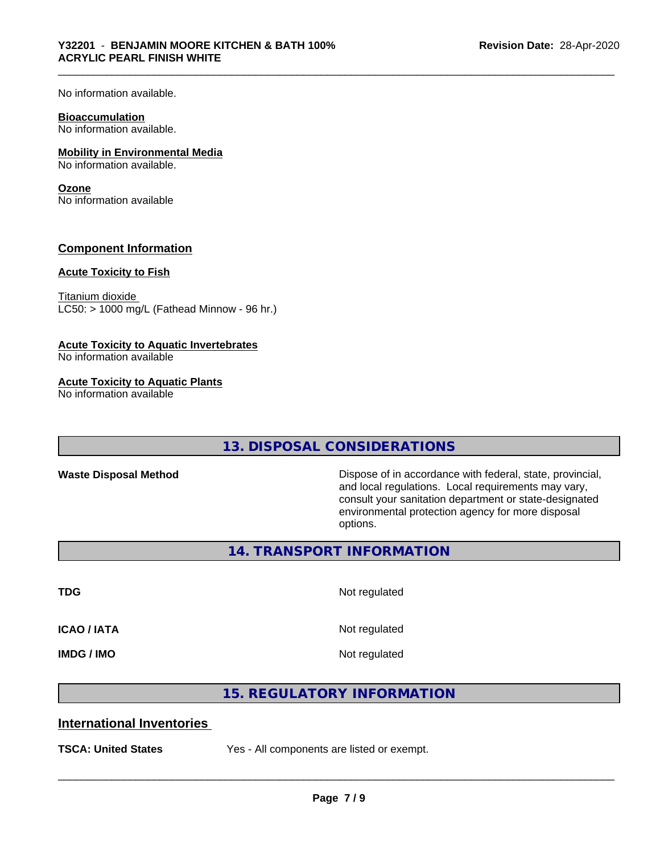No information available.

#### **Bioaccumulation**

No information available.

#### **Mobility in Environmental Media**

No information available.

#### **Ozone**

No information available

## **Component Information**

#### **Acute Toxicity to Fish**

Titanium dioxide  $LC50:$  > 1000 mg/L (Fathead Minnow - 96 hr.)

#### **Acute Toxicity to Aquatic Invertebrates**

No information available

#### **Acute Toxicity to Aquatic Plants**

No information available

# **13. DISPOSAL CONSIDERATIONS**

Waste Disposal Method **Dispose of in accordance with federal, state, provincial,** and local regulations. Local requirements may vary, consult your sanitation department or state-designated environmental protection agency for more disposal options.

**14. TRANSPORT INFORMATION**

**TDG** Not regulated

**ICAO / IATA** Not regulated

**IMDG / IMO** Not regulated

 $\overline{\phantom{a}}$  ,  $\overline{\phantom{a}}$  ,  $\overline{\phantom{a}}$  ,  $\overline{\phantom{a}}$  ,  $\overline{\phantom{a}}$  ,  $\overline{\phantom{a}}$  ,  $\overline{\phantom{a}}$  ,  $\overline{\phantom{a}}$  ,  $\overline{\phantom{a}}$  ,  $\overline{\phantom{a}}$  ,  $\overline{\phantom{a}}$  ,  $\overline{\phantom{a}}$  ,  $\overline{\phantom{a}}$  ,  $\overline{\phantom{a}}$  ,  $\overline{\phantom{a}}$  ,  $\overline{\phantom{a}}$ 

# **15. REGULATORY INFORMATION**

# **International Inventories**

**TSCA: United States** Yes - All components are listed or exempt.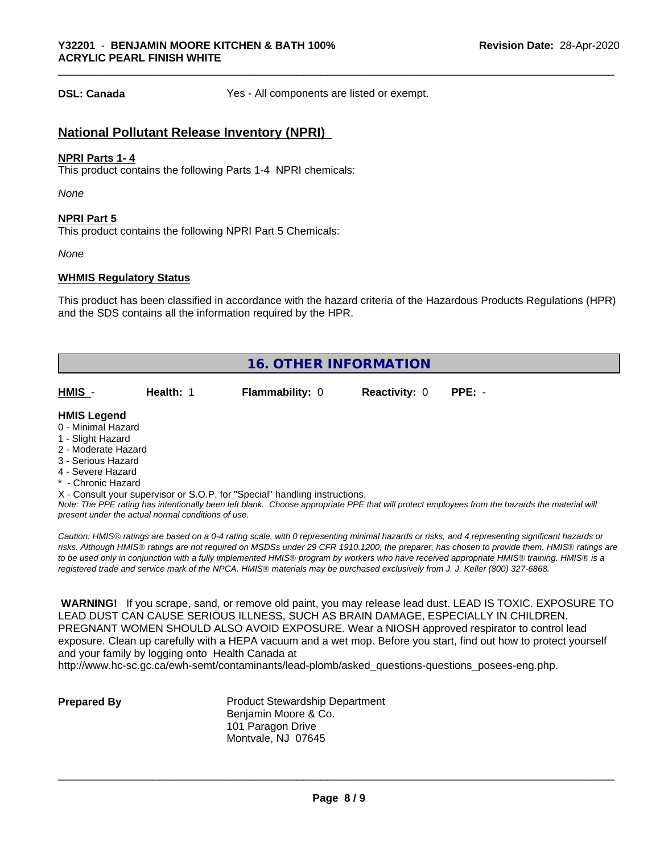**DSL: Canada** Yes - All components are listed or exempt.

## **National Pollutant Release Inventory (NPRI)**

#### **NPRI Parts 1- 4**

This product contains the following Parts 1-4 NPRI chemicals:

*None*

#### **NPRI Part 5**

This product contains the following NPRI Part 5 Chemicals:

*None*

#### **WHMIS Regulatory Status**

This product has been classified in accordance with the hazard criteria of the Hazardous Products Regulations (HPR) and the SDS contains all the information required by the HPR.

| <b>16. OTHER INFORMATION</b>                                                                                                                                                                                |           |                                                                            |                      |                                                                                                                                               |  |  |
|-------------------------------------------------------------------------------------------------------------------------------------------------------------------------------------------------------------|-----------|----------------------------------------------------------------------------|----------------------|-----------------------------------------------------------------------------------------------------------------------------------------------|--|--|
| HMIS -                                                                                                                                                                                                      | Health: 1 | <b>Flammability: 0</b>                                                     | <b>Reactivity: 0</b> | $PPE: -$                                                                                                                                      |  |  |
| <b>HMIS Legend</b><br>0 - Minimal Hazard<br>1 - Slight Hazard<br>2 - Moderate Hazard<br>3 - Serious Hazard<br>4 - Severe Hazard<br>* - Chronic Hazard<br>present under the actual normal conditions of use. |           | X - Consult your supervisor or S.O.P. for "Special" handling instructions. |                      | Note: The PPE rating has intentionally been left blank. Choose appropriate PPE that will protect employees from the hazards the material will |  |  |

*Caution: HMISÒ ratings are based on a 0-4 rating scale, with 0 representing minimal hazards or risks, and 4 representing significant hazards or risks. Although HMISÒ ratings are not required on MSDSs under 29 CFR 1910.1200, the preparer, has chosen to provide them. HMISÒ ratings are to be used only in conjunction with a fully implemented HMISÒ program by workers who have received appropriate HMISÒ training. HMISÒ is a registered trade and service mark of the NPCA. HMISÒ materials may be purchased exclusively from J. J. Keller (800) 327-6868.*

 **WARNING!** If you scrape, sand, or remove old paint, you may release lead dust. LEAD IS TOXIC. EXPOSURE TO LEAD DUST CAN CAUSE SERIOUS ILLNESS, SUCH AS BRAIN DAMAGE, ESPECIALLY IN CHILDREN. PREGNANT WOMEN SHOULD ALSO AVOID EXPOSURE.Wear a NIOSH approved respirator to control lead exposure. Clean up carefully with a HEPA vacuum and a wet mop. Before you start, find out how to protect yourself and your family by logging onto Health Canada at

http://www.hc-sc.gc.ca/ewh-semt/contaminants/lead-plomb/asked\_questions-questions\_posees-eng.php.

**Prepared By** Product Stewardship Department Benjamin Moore & Co. 101 Paragon Drive Montvale, NJ 07645